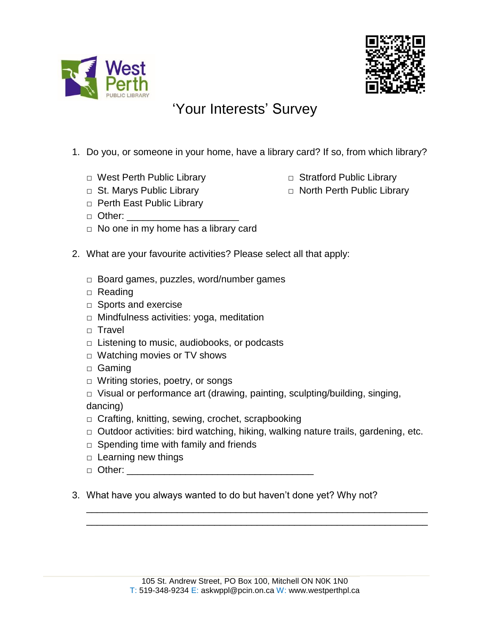



## 'Your Interests' Survey

- 1. Do you, or someone in your home, have a library card? If so, from which library?
	- □ West Perth Public Library □ Stratford Public Library
	-
	- □ Perth East Public Library
	- □ Other: \_\_\_\_\_\_\_\_\_\_\_\_\_\_\_\_\_\_\_\_\_
	- □ No one in my home has a library card
- 2. What are your favourite activities? Please select all that apply:
	- □ Board games, puzzles, word/number games
	- □ Reading
	- □ Sports and exercise
	- □ Mindfulness activities: yoga, meditation
	- □ Travel
	- $\Box$  Listening to music, audiobooks, or podcasts
	- □ Watching movies or TV shows
	- □ Gaming
	- □ Writing stories, poetry, or songs
	- □ Visual or performance art (drawing, painting, sculpting/building, singing, dancing)
	- □ Crafting, knitting, sewing, crochet, scrapbooking
	- □ Outdoor activities: bird watching, hiking, walking nature trails, gardening, etc.

\_\_\_\_\_\_\_\_\_\_\_\_\_\_\_\_\_\_\_\_\_\_\_\_\_\_\_\_\_\_\_\_\_\_\_\_\_\_\_\_\_\_\_\_\_\_\_\_\_\_\_\_\_\_\_\_\_\_\_\_\_\_\_\_ \_\_\_\_\_\_\_\_\_\_\_\_\_\_\_\_\_\_\_\_\_\_\_\_\_\_\_\_\_\_\_\_\_\_\_\_\_\_\_\_\_\_\_\_\_\_\_\_\_\_\_\_\_\_\_\_\_\_\_\_\_\_\_\_

- □ Spending time with family and friends
- □ Learning new things
- □ Other: \_\_\_\_\_\_\_\_\_\_\_\_\_\_\_\_\_\_\_\_\_\_\_\_\_\_\_\_\_\_\_\_\_\_\_
- 3. What have you always wanted to do but haven't done yet? Why not?
- 
- □ St. Marys Public Library <br>□ North Perth Public Library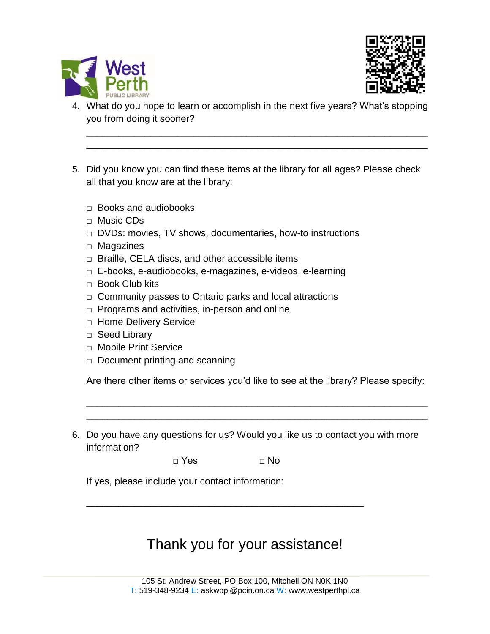



4. What do you hope to learn or accomplish in the next five years? What's stopping you from doing it sooner?

\_\_\_\_\_\_\_\_\_\_\_\_\_\_\_\_\_\_\_\_\_\_\_\_\_\_\_\_\_\_\_\_\_\_\_\_\_\_\_\_\_\_\_\_\_\_\_\_\_\_\_\_\_\_\_\_\_\_\_\_\_\_\_\_ \_\_\_\_\_\_\_\_\_\_\_\_\_\_\_\_\_\_\_\_\_\_\_\_\_\_\_\_\_\_\_\_\_\_\_\_\_\_\_\_\_\_\_\_\_\_\_\_\_\_\_\_\_\_\_\_\_\_\_\_\_\_\_\_

- 5. Did you know you can find these items at the library for all ages? Please check all that you know are at the library:
	- $\Box$  Books and audiobooks
	- □ Music CDs
	- □ DVDs: movies, TV shows, documentaries, how-to instructions
	- □ Magazines
	- $\Box$  Braille, CELA discs, and other accessible items
	- □ E-books, e-audiobooks, e-magazines, e-videos, e-learning
	- $\Box$  Book Club kits
	- □ Community passes to Ontario parks and local attractions
	- $\Box$  Programs and activities, in-person and online
	- □ Home Delivery Service
	- □ Seed Library
	- □ Mobile Print Service
	- $\Box$  Document printing and scanning

Are there other items or services you'd like to see at the library? Please specify:

\_\_\_\_\_\_\_\_\_\_\_\_\_\_\_\_\_\_\_\_\_\_\_\_\_\_\_\_\_\_\_\_\_\_\_\_\_\_\_\_\_\_\_\_\_\_\_\_\_\_\_\_\_\_\_\_\_\_\_\_\_\_\_\_ \_\_\_\_\_\_\_\_\_\_\_\_\_\_\_\_\_\_\_\_\_\_\_\_\_\_\_\_\_\_\_\_\_\_\_\_\_\_\_\_\_\_\_\_\_\_\_\_\_\_\_\_\_\_\_\_\_\_\_\_\_\_\_\_

6. Do you have any questions for us? Would you like us to contact you with more information?

 $\Box$  Yes  $\Box$  No

\_\_\_\_\_\_\_\_\_\_\_\_\_\_\_\_\_\_\_\_\_\_\_\_\_\_\_\_\_\_\_\_\_\_\_\_\_\_\_\_\_\_\_\_\_\_\_\_\_\_\_\_

If yes, please include your contact information:

## Thank you for your assistance!